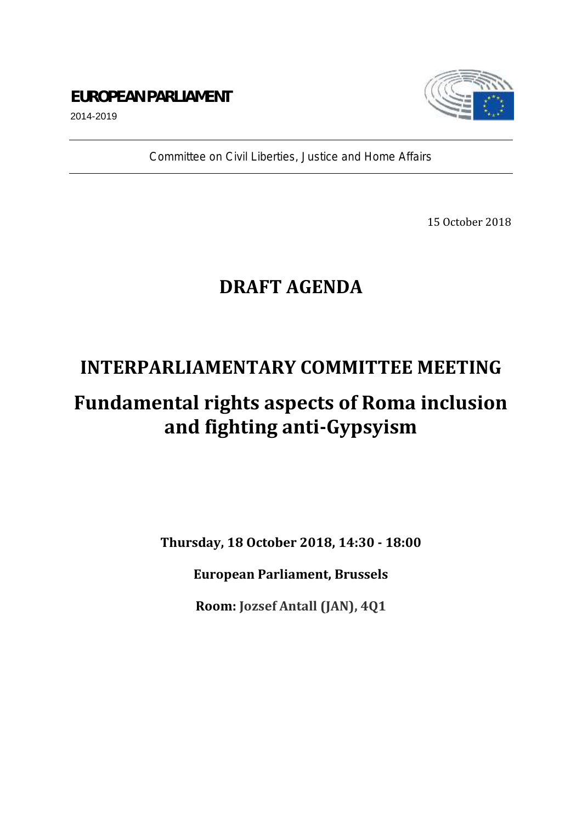### **EUROPEAN PARLIAMENT**



2014-2019

*Committee on Civil Liberties, Justice and Home Affairs*

15 October 2018

## **DRAFT AGENDA**

### **INTERPARLIAMENTARY COMMITTEE MEETING**

# **Fundamental rights aspects of Roma inclusion and fighting anti-Gypsyism**

**Thursday, 18 October 2018, 14:30 - 18:00**

**European Parliament, Brussels**

**Room: Jozsef Antall (JAN), 4Q1**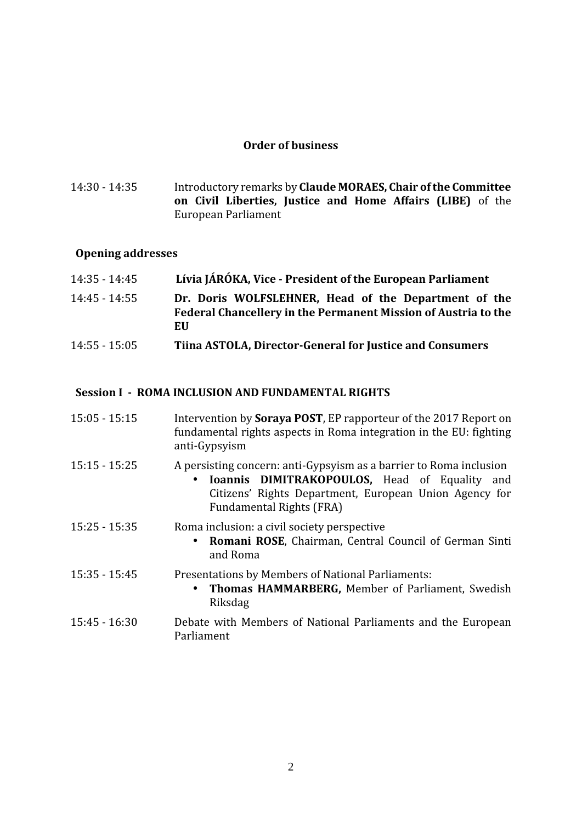#### **Order of business**

14:30 - 14:35 Introductory remarks by **Claude MORAES, Chair of the Committee on Civil Liberties, Justice and Home Affairs (LIBE)** of the European Parliament

#### **Opening addresses**

| 14:35 - 14:45   | Lívia JÁRÓKA, Vice - President of the European Parliament                                                                    |
|-----------------|------------------------------------------------------------------------------------------------------------------------------|
| 14:45 - 14:55   | Dr. Doris WOLFSLEHNER, Head of the Department of the<br>Federal Chancellery in the Permanent Mission of Austria to the<br>EU |
| $14:55 - 15:05$ | Tiina ASTOLA, Director-General for Justice and Consumers                                                                     |

#### **Session I - ROMA INCLUSION AND FUNDAMENTAL RIGHTS**

| $15:05 - 15:15$ | Intervention by <b>Soraya POST</b> , EP rapporteur of the 2017 Report on<br>fundamental rights aspects in Roma integration in the EU: fighting<br>anti-Gypsyism                                                     |
|-----------------|---------------------------------------------------------------------------------------------------------------------------------------------------------------------------------------------------------------------|
| $15:15 - 15:25$ | A persisting concern: anti-Gypsyism as a barrier to Roma inclusion<br>Ioannis DIMITRAKOPOULOS, Head of Equality<br>and<br>Citizens' Rights Department, European Union Agency for<br><b>Fundamental Rights (FRA)</b> |
| $15:25 - 15:35$ | Roma inclusion: a civil society perspective<br>Romani ROSE, Chairman, Central Council of German Sinti<br>and Roma                                                                                                   |
| $15:35 - 15:45$ | Presentations by Members of National Parliaments:<br>Thomas HAMMARBERG, Member of Parliament, Swedish<br>Riksdag                                                                                                    |
| $15:45 - 16:30$ | Debate with Members of National Parliaments and the European<br>Parliament                                                                                                                                          |